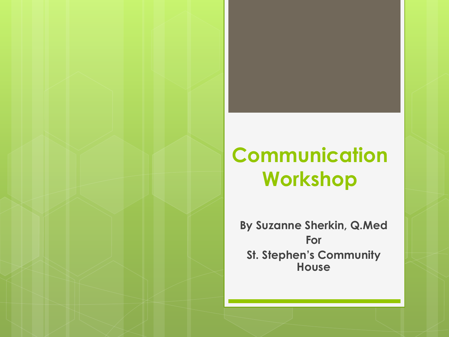### **Communication Workshop**

**By Suzanne Sherkin, Q.Med For St. Stephen's Community House**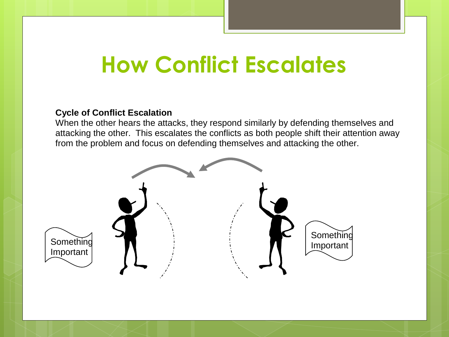## **How Conflict Escalates**

#### **Cycle of Conflict Escalation**

When the other hears the attacks, they respond similarly by defending themselves and attacking the other. This escalates the conflicts as both people shift their attention away from the problem and focus on defending themselves and attacking the other.

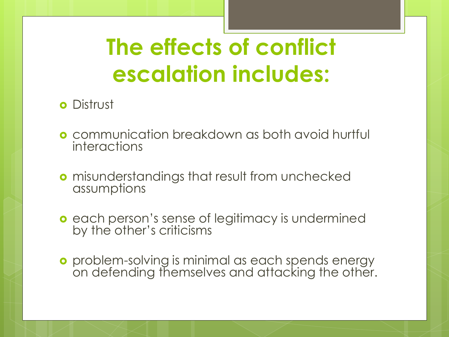# **The effects of conflict escalation includes:**

### **o** Distrust

- **o** communication breakdown as both avoid hurtful interactions
- **o** misunderstandings that result from unchecked assumptions
- **e** each person's sense of legitimacy is undermined by the other's criticisms
- **o** problem-solving is minimal as each spends energy on defending themselves and attacking the other.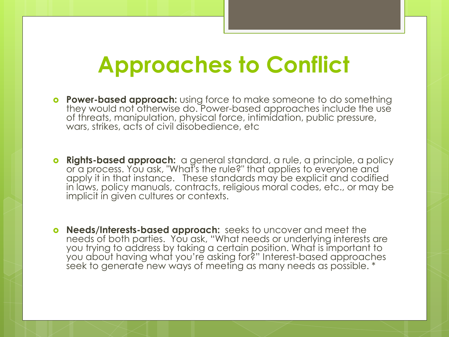### **Approaches to Conflict**

- **Power-based approach:** using force to make someone to do something they would not otherwise do. Power-based approaches include the use of threats, manipulation, physical force, intimidation, public pressure, wars, strikes, acts of civil disobedience, etc
- **o** Rights-based approach: a general standard, a rule, a principle, a policy or a process. You ask, "What's the rule?" that applies to everyone and apply it in that instance. These standards may be explicit and codified in laws, policy manuals, contracts, religious moral codes, etc., or may be implicit in given cultures or contexts.
- **Needs/Interests-based approach:** seeks to uncover and meet the needs of both parties. You ask, "What needs or underlying interests are you trying to address by taking a certain position. What is important to you about having what you're asking for?" Interest-based approaches seek to generate new ways of meeting as many needs as possible. \*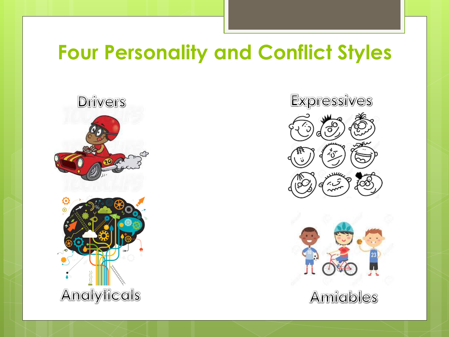### **Four Personality and Conflict Styles**





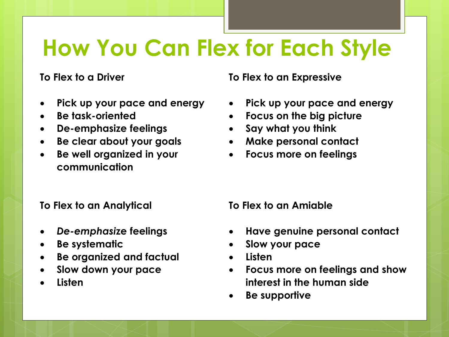## **How You Can Flex for Each Style**

#### **To Flex to a Driver**

- **Pick up your pace and energy**
- **Be task-oriented**
- **De-emphasize feelings**
- **Be clear about your goals**
- **Be well organized in your communication**

#### **To Flex to an Expressive**

- **Pick up your pace and energy**
- **Focus on the big picture**
- **Say what you think**
- **Make personal contact**
- **Focus more on feelings**

#### **To Flex to an Analytical**

- *De-emphasi***ze feelings**
- **Be systematic**
- **Be organized and factual**
- **Slow down your pace**
- **Listen**

**To Flex to an Amiable** 

- **Have genuine personal contact**
- **Slow your pace**
- **Listen**
- **Focus more on feelings and show interest in the human side**
- **Be supportive**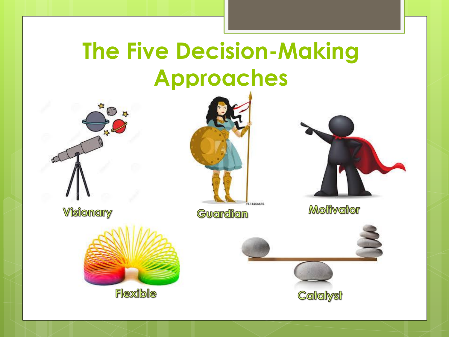## **The Five Decision-Making Approaches**



**Visionary** 



Guardian



**Motivator** 



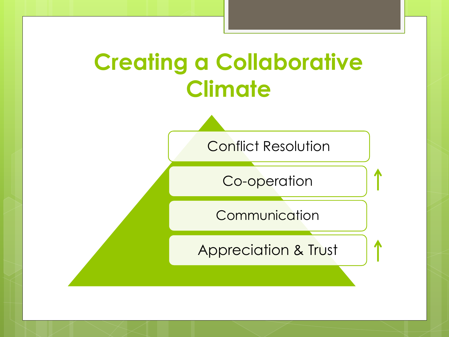